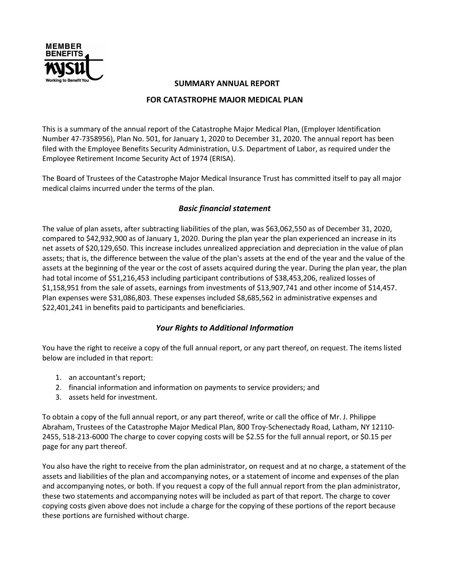

## SUMMARY ANNUAL REPORT

## FOR CATASTROPHE MAJOR MEDICAL PLAN

This is a summary of the annual report of the Catastrophe Major Medical Plan, (Employer Identification Number 47-7358956), Plan No. 501, for January 1, 2020 to December 31, 2020. The annual report has been filed with the Employee Benefits Security Administration, U.S. Department of Labor, as required under the Employee Retirement Income Security Act of 1974 (ERISA).

The Board of Trustees of the Catastrophe Major Medical Insurance Trust has committed itself to pay all major medical claims incurred under the terms of the plan.

## Basic financial statement

The value of plan assets, after subtracting liabilities of the plan, was \$63,062,550 as of December 31, 2020, compared to \$42,932,900 as of January 1, 2020. During the plan year the plan experienced an increase in its net assets of \$20,129,650. This increase includes unrealized appreciation and depreciation in the value of plan assets; that is, the difference between the value of the plan's assets at the end of the year and the value of the assets at the beginning of the year or the cost of assets acquired during the year. During the plan year, the plan had total income of \$51,216,453 including participant contributions of \$38,453,206, realized losses of \$1,158,951 from the sale of assets, earnings from investments of \$13,907,741 and other income of \$14,457. Plan expenses were \$31,086,803. These expenses included \$8,685,562 in administrative expenses and \$22,401,241 in benefits paid to participants and beneficiaries.

## Your Rights to Additional Information

You have the right to receive a copy of the full annual report, or any part thereof, on request. The items listed below are included in that report:

- 1. an accountant's report;
- 2. financial information and information on payments to service providers; and
- 3. assets held for investment.

To obtain a copy of the full annual report, or any part thereof, write or call the office of Mr. J. Philippe Abraham, Trustees of the Catastrophe Major Medical Plan, 800 Troy-Schenectady Road, Latham, NY 12110- 2455, 518-213-6000 The charge to cover copying costs will be \$2.55 for the full annual report, or \$0.15 per page for any part thereof.

You also have the right to receive from the plan administrator, on request and at no charge, a statement of the assets and liabilities of the plan and accompanying notes, or a statement of income and expenses of the plan and accompanying notes, or both. If you request a copy of the full annual report from the plan administrator, these two statements and accompanying notes will be included as part of that report. The charge to cover copying costs given above does not include a charge for the copying of these portions of the report because these portions are furnished without charge.